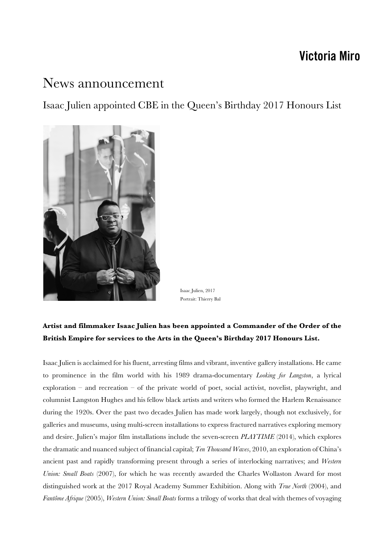## **Victoria Miro**

## News announcement

Isaac Julien appointed CBE in the Queen's Birthday 2017 Honours List



Isaac Julien, 2017 Portrait: Thierry Bal

## **Artist and filmmaker Isaac Julien has been appointed a Commander of the Order of the British Empire for services to the Arts in the Queen's Birthday 2017 Honours List.**

Isaac Julien is acclaimed for his fluent, arresting films and vibrant, inventive gallery installations. He came to prominence in the film world with his 1989 drama-documentary *Looking for Langston*, a lyrical exploration – and recreation – of the private world of poet, social activist, novelist, playwright, and columnist Langston Hughes and his fellow black artists and writers who formed the Harlem Renaissance during the 1920s. Over the past two decades Julien has made work largely, though not exclusively, for galleries and museums, using multi-screen installations to express fractured narratives exploring memory and desire. Julien's major film installations include the seven-screen *PLAYTIME* (2014), which explores the dramatic and nuanced subject of financial capital; *Ten Thousand Waves*, 2010, an exploration of China's ancient past and rapidly transforming present through a series of interlocking narratives; and *Western Union: Small Boats* (2007), for which he was recently awarded the Charles Wollaston Award for most distinguished work at the 2017 Royal Academy Summer Exhibition. Along with *True North* (2004), and *Fantôme Afrique* (2005), *Western Union: Small Boats* forms a trilogy of works that deal with themes of voyaging